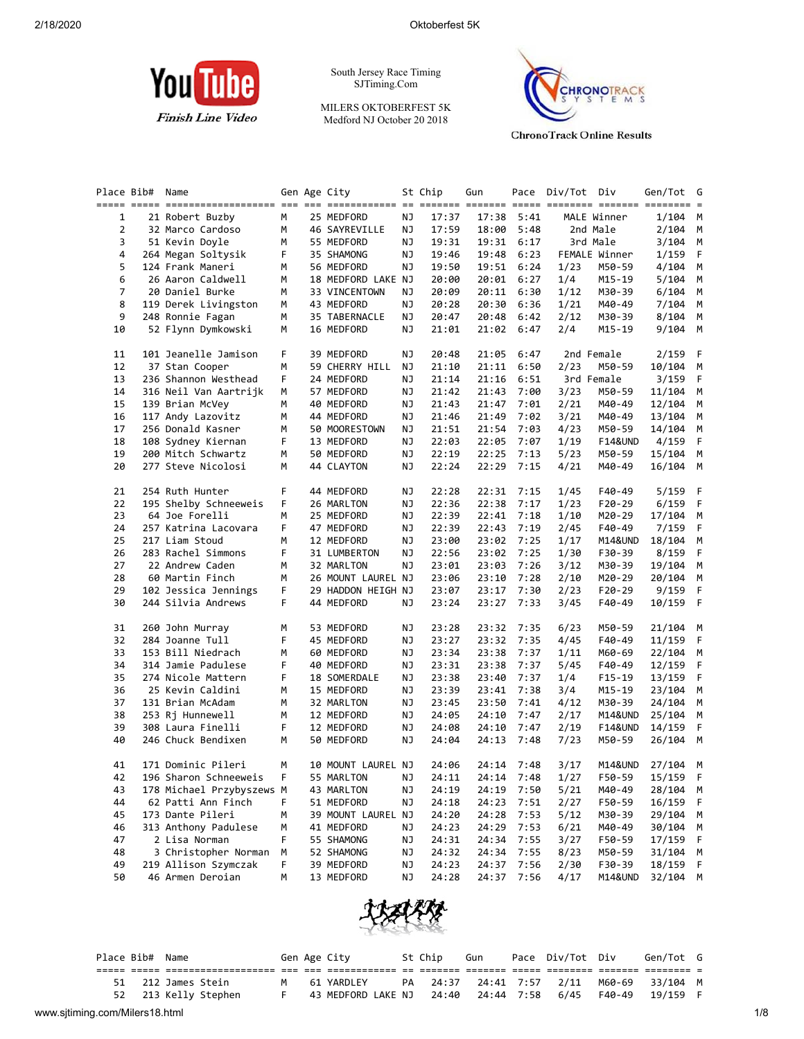

South Jersey Race Timing SJTiming.Com

MILERS OKTOBERFEST 5K Medford NJ October 20 2018



**ChronoTrack Online Results** 

| Place Bib#     | Name                      |   | Gen Age City       |    | St Chip | Gun        |      | Pace Div/Tot Div |               | Gen/Tot G | $=$ |
|----------------|---------------------------|---|--------------------|----|---------|------------|------|------------------|---------------|-----------|-----|
| 1              | 21 Robert Buzby           | м | 25 MEDFORD         | ΝJ | 17:37   | 17:38      | 5:41 |                  | MALE Winner   | 1/104     | М   |
| 2              | 32 Marco Cardoso          | м | 46 SAYREVILLE      | ΝJ | 17:59   | 18:00      | 5:48 |                  | 2nd Male      | 2/104     | М   |
| 3              | 51 Kevin Doyle            | М | 55 MEDFORD         | ΝJ | 19:31   | 19:31      | 6:17 |                  | 3rd Male      | 3/104     | М   |
| 4              | 264 Megan Soltysik        | F | 35 SHAMONG         | ΝJ | 19:46   | 19:48      | 6:23 |                  | FEMALE Winner | 1/159     | F   |
| 5              | 124 Frank Maneri          | м | 56 MEDFORD         | ΝJ | 19:50   | 19:51      | 6:24 | 1/23             | M50-59        | 4/104     | М   |
| 6              | 26 Aaron Caldwell         | м | 18 MEDFORD LAKE NJ |    | 20:00   | 20:01      | 6:27 | 1/4              | M15-19        | 5/104     | М   |
| $\overline{7}$ | 20 Daniel Burke           | м | 33 VINCENTOWN      | ΝJ | 20:09   | 20:11      | 6:30 | 1/12             | M30-39        | 6/104     | М   |
| 8              | 119 Derek Livingston      | м | 43 MEDFORD         | ΝJ | 20:28   | 20:30      | 6:36 | 1/21             | M40-49        | 7/104     | М   |
| 9              | 248 Ronnie Fagan          | M | 35 TABERNACLE      | NJ | 20:47   | 20:48      | 6:42 | 2/12             | M30-39        | 8/104     | M   |
| 10             | 52 Flynn Dymkowski        | м | 16 MEDFORD         | ΝJ | 21:01   | 21:02      | 6:47 | 2/4              | M15-19        | 9/104     | M   |
| 11             | 101 Jeanelle Jamison      | F | 39 MEDFORD         | ΝJ | 20:48   | 21:05      | 6:47 |                  | 2nd Female    | 2/159     | F   |
| 12             | 37 Stan Cooper            | м | 59 CHERRY HILL     | ΝJ | 21:10   | 21:11      | 6:50 | 2/23             | M50-59        | 10/104    | М   |
| 13             | 236 Shannon Westhead      | F | 24 MEDFORD         | ΝJ | 21:14   | 21:16      | 6:51 |                  | 3rd Female    | 3/159     | F   |
| 14             | 316 Neil Van Aartrijk     | М | 57 MEDFORD         | ΝJ | 21:42   | 21:43      | 7:00 | 3/23             | M50-59        | 11/104    | M   |
| 15             | 139 Brian McVey           | м | 40 MEDFORD         | ΝJ | 21:43   | 21:47      | 7:01 | 2/21             | M40-49        | 12/104    | М   |
| 16             | 117 Andy Lazovitz         | м | 44 MEDFORD         | ΝJ | 21:46   | 21:49      | 7:02 | 3/21             | M40-49        | 13/104    | М   |
| 17             | 256 Donald Kasner         | М | 50 MOORESTOWN      | ΝJ | 21:51   | 21:54      | 7:03 | 4/23             | M50-59        | 14/104    | М   |
| 18             | 108 Sydney Kiernan        | F | 13 MEDFORD         | ΝJ | 22:03   | 22:05      | 7:07 | 1/19             | F14&UND       | 4/159     | F   |
| 19             | 200 Mitch Schwartz        | м | 50 MEDFORD         | ΝJ | 22:19   | 22:25      | 7:13 | 5/23             | M50-59        | 15/104    | М   |
| 20             | 277 Steve Nicolosi        | м | 44 CLAYTON         | ΝJ | 22:24   | 22:29      | 7:15 | 4/21             | M40-49        | 16/104    | M   |
| 21             | 254 Ruth Hunter           | F | 44 MEDFORD         | ΝJ | 22:28   | 22:31      | 7:15 | 1/45             | F40-49        | 5/159     | F   |
| 22             | 195 Shelby Schneeweis     | F | 26 MARLTON         | ΝJ | 22:36   | 22:38      | 7:17 | 1/23             | F20-29        | 6/159     | F   |
| 23             | 64 Joe Forelli            | м | 25 MEDFORD         | ΝJ | 22:39   | 22:41      | 7:18 | 1/10             | M20-29        | 17/104    | М   |
| 24             | 257 Katrina Lacovara      | F | 47 MEDFORD         | ΝJ | 22:39   | 22:43      | 7:19 | 2/45             | F40-49        | 7/159     | F   |
| 25             | 217 Liam Stoud            | м | 12 MEDFORD         | ΝJ | 23:00   | 23:02      | 7:25 | 1/17             | M14&UND       | 18/104    | M   |
| 26             | 283 Rachel Simmons        | F | 31 LUMBERTON       | ΝJ | 22:56   | 23:02      | 7:25 | 1/30             | F30-39        | 8/159     | F   |
| 27             | 22 Andrew Caden           | м | 32 MARLTON         | ΝJ | 23:01   | 23:03      | 7:26 | 3/12             | M30-39        | 19/104    | М   |
| 28             | 60 Martin Finch           | м | 26 MOUNT LAUREL NJ |    | 23:06   | 23:10      | 7:28 | 2/10             | M20-29        | 20/104    | М   |
| 29             | 102 Jessica Jennings      | F | 29 HADDON HEIGH NJ |    | 23:07   | 23:17      | 7:30 | 2/23             | F20-29        | 9/159     | F   |
| 30             | 244 Silvia Andrews        | F | 44 MEDFORD         | ΝJ | 23:24   | 23:27      | 7:33 | 3/45             | F40-49        | 10/159    | F   |
| 31             | 260 John Murray           | м | 53 MEDFORD         | ΝJ | 23:28   | 23:32      | 7:35 | 6/23             | M50-59        | 21/104    | M   |
| 32             | 284 Joanne Tull           | F | 45 MEDFORD         | ΝJ | 23:27   | 23:32      | 7:35 | 4/45             | F40-49        | 11/159    | F   |
| 33             | 153 Bill Niedrach         | м | 60 MEDFORD         | ΝJ | 23:34   | 23:38      | 7:37 | 1/11             | M60-69        | 22/104    | М   |
| 34             | 314 Jamie Padulese        | F | 40 MEDFORD         | ΝJ | 23:31   | 23:38      | 7:37 | 5/45             | F40-49        | 12/159    | F   |
| 35             | 274 Nicole Mattern        | F | 18 SOMERDALE       | ΝJ | 23:38   | 23:40      | 7:37 | 1/4              | F15-19        | 13/159    | F   |
| 36             | 25 Kevin Caldini          | м | 15 MEDFORD         | ΝJ | 23:39   | 23:41      | 7:38 | 3/4              | M15-19        | 23/104    | М   |
| 37             | 131 Brian McAdam          | м | 32 MARLTON         | ΝJ | 23:45   | 23:50      | 7:41 | 4/12             | M30-39        | 24/104    | М   |
| 38             | 253 Rj Hunnewell          | м | 12 MEDFORD         | ΝJ | 24:05   | 24:10      | 7:47 | 2/17             | M14&UND       | 25/104    | М   |
| 39             | 308 Laura Finelli         | F | 12 MEDFORD         | ΝJ | 24:08   | 24:10      | 7:47 | 2/19             | F14&UND       | 14/159    | F   |
| 40             | 246 Chuck Bendixen        | м | 50 MEDFORD         | ΝJ | 24:04   | 24:13      | 7:48 | 7/23             | M50-59        | 26/104    | М   |
| 41             | 171 Dominic Pileri        | м | 10 MOUNT LAUREL NJ |    | 24:06   | 24:14 7:48 |      | 3/17             | M14&UND       | 27/104    | M   |
| 42             | 196 Sharon Schneeweis     | F | 55 MARLTON         | ΝJ | 24:11   | 24:14      | 7:48 | 1/27             | F50-59        | 15/159    | F   |
| 43             | 178 Michael Przybyszews M |   | 43 MARLTON         | NJ | 24:19   | 24:19      | 7:50 | 5/21             | M40-49        | 28/104    | M   |
| 44             | 62 Patti Ann Finch        | F | 51 MEDFORD         | ΝJ | 24:18   | 24:23      | 7:51 | 2/27             | F50-59        | 16/159    | F   |
| 45             | 173 Dante Pileri          | М | 39 MOUNT LAUREL NJ |    | 24:20   | 24:28      | 7:53 | 5/12             | M30-39        | 29/104    | М   |
| 46             | 313 Anthony Padulese      | М | 41 MEDFORD         | ΝJ | 24:23   | 24:29      | 7:53 | 6/21             | M40-49        | 30/104    | M   |
| 47             | 2 Lisa Norman             | F | 55 SHAMONG         | ΝJ | 24:31   | 24:34      | 7:55 | 3/27             | F50-59        | 17/159    | F   |
| 48             | 3 Christopher Norman      | м | 52 SHAMONG         | ΝJ | 24:32   | 24:34      | 7:55 | 8/23             | M50-59        | 31/104    | М   |
| 49             | 219 Allison Szymczak      | F | 39 MEDFORD         | ΝJ | 24:23   | 24:37      | 7:56 | 2/30             | F30-39        | 18/159    | F   |
| 50             | 46 Armen Deroian          | М | 13 MEDFORD         | ΝJ | 24:28   | 24:37      | 7:56 | 4/17             | M14&UND       | 32/104    | М   |



|  | Place Bib# Name |                      |  | Gen Age City                        | St Chip | Gun | Pace Div/Tot Div         |        | Gen/Tot G       |  |
|--|-----------------|----------------------|--|-------------------------------------|---------|-----|--------------------------|--------|-----------------|--|
|  |                 |                      |  |                                     |         |     |                          |        |                 |  |
|  |                 | 51 212 James Stein   |  | 61 YARDLEY                          |         |     | PA 24:37 24:41 7:57 2/11 |        | M60-69 33/104 M |  |
|  |                 | 52 213 Kelly Stephen |  | 43 MEDFORD LAKE NJ 24:40 24:44 7:58 |         |     | 6/45                     | F40-49 | 19/159          |  |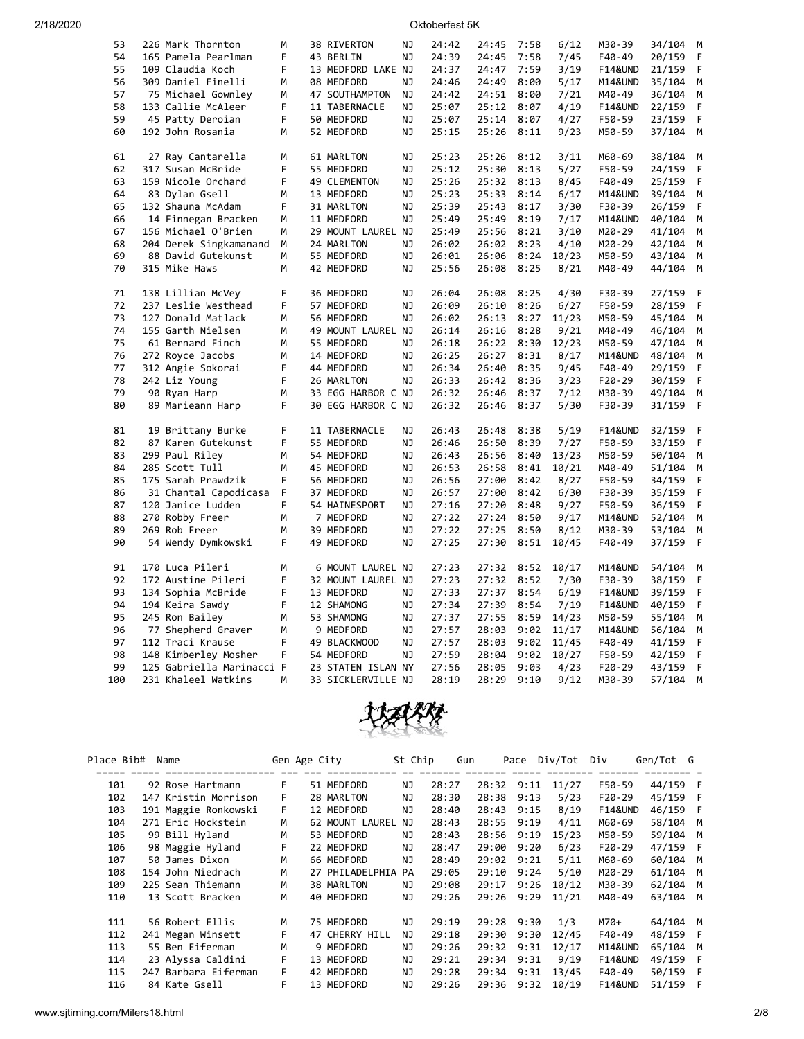| 53  | 226 Mark Thornton         | M  | 38 RIVERTON        | ΝJ        | 24:42 | 24:45 | 7:58 | 6/12  | M30-39             | 34/104 | M |
|-----|---------------------------|----|--------------------|-----------|-------|-------|------|-------|--------------------|--------|---|
| 54  | 165 Pamela Pearlman       | F  | 43 BERLIN          | NJ        | 24:39 | 24:45 | 7:58 | 7/45  | F40-49             | 20/159 | F |
| 55  | 109 Claudia Koch          | F  | 13 MEDFORD LAKE NJ |           | 24:37 | 24:47 | 7:59 | 3/19  | F14&UND            | 21/159 | F |
| 56  | 309 Daniel Finelli        | М  | 08 MEDFORD         | <b>NJ</b> | 24:46 | 24:49 | 8:00 | 5/17  | M14&UND            | 35/104 | М |
| 57  | 75 Michael Gownley        | М  | 47 SOUTHAMPTON     | NJ        | 24:42 | 24:51 | 8:00 | 7/21  | M40-49             | 36/104 | M |
| 58  | 133 Callie McAleer        | F  | 11 TABERNACLE      | ΝJ        | 25:07 | 25:12 | 8:07 | 4/19  | <b>F14&amp;UND</b> | 22/159 | F |
| 59  | 45 Patty Deroian          | F  | 50 MEDFORD         | NJ        | 25:07 | 25:14 | 8:07 | 4/27  | F50-59             | 23/159 | F |
| 60  | 192 John Rosania          | M  | 52 MEDFORD         | NJ        | 25:15 | 25:26 | 8:11 | 9/23  | M50-59             | 37/104 | M |
|     |                           |    |                    |           |       |       |      |       |                    |        |   |
| 61  | 27 Ray Cantarella         | м  | 61 MARLTON         | ΝJ        | 25:23 | 25:26 | 8:12 | 3/11  | M60-69             | 38/104 | M |
| 62  | 317 Susan McBride         | F  | 55 MEDFORD         | <b>NJ</b> | 25:12 | 25:30 | 8:13 | 5/27  | F50-59             | 24/159 | F |
| 63  | 159 Nicole Orchard        | F  | 49 CLEMENTON       | NJ        | 25:26 | 25:32 | 8:13 | 8/45  | F40-49             | 25/159 | F |
| 64  | 83 Dylan Gsell            | М  | 13 MEDFORD         | ΝJ        | 25:23 | 25:33 | 8:14 | 6/17  | M14&UND            | 39/104 | М |
| 65  | 132 Shauna McAdam         | F  | 31 MARLTON         | NJ        | 25:39 | 25:43 | 8:17 | 3/30  | F30-39             | 26/159 | F |
| 66  | 14 Finnegan Bracken       | M  | 11 MEDFORD         | NJ        | 25:49 | 25:49 | 8:19 | 7/17  | <b>M14&amp;UND</b> | 40/104 | M |
| 67  | 156 Michael O'Brien       | M  | 29 MOUNT LAUREL NJ |           | 25:49 | 25:56 | 8:21 | 3/10  | M20-29             | 41/104 | М |
| 68  | 204 Derek Singkamanand    | M  | 24 MARLTON         | NJ        | 26:02 | 26:02 | 8:23 | 4/10  | M20-29             | 42/104 | M |
| 69  | 88 David Gutekunst        | М  | 55 MEDFORD         | NJ        | 26:01 | 26:06 | 8:24 | 10/23 | M50-59             | 43/104 | M |
| 70  | 315 Mike Haws             | М  | 42 MEDFORD         | ΝJ        | 25:56 | 26:08 | 8:25 | 8/21  | M40-49             | 44/104 | M |
| 71  | 138 Lillian McVey         | F  | 36 MEDFORD         | ΝJ        | 26:04 | 26:08 | 8:25 | 4/30  | F30-39             | 27/159 | F |
| 72  | 237 Leslie Westhead       | F  | 57 MEDFORD         | NJ        | 26:09 | 26:10 | 8:26 | 6/27  | F50-59             | 28/159 | F |
| 73  | 127 Donald Matlack        | М  | 56 MEDFORD         | <b>NJ</b> | 26:02 | 26:13 | 8:27 | 11/23 | M50-59             | 45/104 | М |
| 74  | 155 Garth Nielsen         | M  | 49 MOUNT LAUREL NJ |           | 26:14 | 26:16 | 8:28 | 9/21  | M40-49             | 46/104 | M |
| 75  | 61 Bernard Finch          | M  | 55 MEDFORD         | ΝJ        | 26:18 | 26:22 | 8:30 | 12/23 | M50-59             | 47/104 | M |
| 76  | 272 Royce Jacobs          | M  | 14 MEDFORD         | NJ        | 26:25 | 26:27 | 8:31 | 8/17  | M14&UND            | 48/104 | M |
| 77  | 312 Angie Sokorai         | F  | 44 MEDFORD         | NJ        | 26:34 | 26:40 | 8:35 | 9/45  | F40-49             | 29/159 | F |
| 78  | 242 Liz Young             | F  | 26 MARLTON         | ΝJ        | 26:33 | 26:42 | 8:36 | 3/23  | F20-29             | 30/159 | F |
| 79  | 90 Ryan Harp              | м  | 33 EGG HARBOR C NJ |           | 26:32 | 26:46 | 8:37 | 7/12  | M30-39             | 49/104 | M |
| 80  | 89 Marieann Harp          | F  | 30 EGG HARBOR C NJ |           | 26:32 | 26:46 | 8:37 | 5/30  | F30-39             | 31/159 | F |
|     |                           |    |                    |           |       |       |      |       |                    |        |   |
| 81  | 19 Brittany Burke         | F  | 11 TABERNACLE      | ΝJ        | 26:43 | 26:48 | 8:38 | 5/19  | F14&UND            | 32/159 | F |
| 82  | 87 Karen Gutekunst        | F. | 55 MEDFORD         | NJ        | 26:46 | 26:50 | 8:39 | 7/27  | F50-59             | 33/159 | F |
| 83  | 299 Paul Riley            | М  | 54 MEDFORD         | ΝJ        | 26:43 | 26:56 | 8:40 | 13/23 | M50-59             | 50/104 | М |
| 84  | 285 Scott Tull            | M  | 45 MEDFORD         | ΝJ        | 26:53 | 26:58 | 8:41 | 10/21 | M40-49             | 51/104 | М |
| 85  | 175 Sarah Prawdzik        | F  | 56 MEDFORD         | NJ        | 26:56 | 27:00 | 8:42 | 8/27  | F50-59             | 34/159 | F |
| 86  | 31 Chantal Capodicasa     | F  | 37 MEDFORD         | ΝJ        | 26:57 | 27:00 | 8:42 | 6/30  | F30-39             | 35/159 | F |
| 87  | 120 Janice Ludden         | F  | 54 HAINESPORT      | ΝJ        | 27:16 | 27:20 | 8:48 | 9/27  | F50-59             | 36/159 | F |
| 88  | 270 Robby Freer           | М  | 7 MEDFORD          | ΝJ        | 27:22 | 27:24 | 8:50 | 9/17  | M14&UND            | 52/104 | M |
| 89  | 269 Rob Freer             | M  | 39 MEDFORD         | NJ        | 27:22 | 27:25 | 8:50 | 8/12  | M30-39             | 53/104 | M |
| 90  | 54 Wendy Dymkowski        | F  | 49 MEDFORD         | NJ        | 27:25 | 27:30 | 8:51 | 10/45 | F40-49             | 37/159 | F |
| 91  | 170 Luca Pileri           | M  | 6 MOUNT LAUREL NJ  |           | 27:23 | 27:32 | 8:52 | 10/17 | M14&UND            | 54/104 | M |
| 92  | 172 Austine Pileri        | F  | 32 MOUNT LAUREL NJ |           | 27:23 | 27:32 | 8:52 | 7/30  | F30-39             | 38/159 | F |
| 93  | 134 Sophia McBride        | F  | 13 MEDFORD         | ΝJ        | 27:33 | 27:37 | 8:54 | 6/19  | <b>F14&amp;UND</b> | 39/159 | F |
| 94  | 194 Keira Sawdy           | F  | 12 SHAMONG         | ΝJ        | 27:34 | 27:39 | 8:54 | 7/19  | F14&UND            | 40/159 | F |
| 95  | 245 Ron Bailey            | M  | 53 SHAMONG         | NJ        | 27:37 | 27:55 | 8:59 | 14/23 | M50-59             | 55/104 | М |
| 96  | 77 Shepherd Graver        | M  | 9 MEDFORD          | NJ        | 27:57 | 28:03 | 9:02 | 11/17 | M14&UND            | 56/104 | M |
| 97  | 112 Traci Krause          | F  | 49 BLACKWOOD       | ΝJ        | 27:57 | 28:03 | 9:02 | 11/45 | F40-49             | 41/159 | F |
| 98  | 148 Kimberley Mosher      | F  | 54 MEDFORD         | NJ        | 27:59 | 28:04 | 9:02 | 10/27 | F50-59             | 42/159 | F |
| 99  | 125 Gabriella Marinacci F |    | 23 STATEN ISLAN NY |           | 27:56 | 28:05 | 9:03 | 4/23  | $F20-29$           | 43/159 | F |
| 100 | 231 Khaleel Watkins       | M  | 33 SICKLERVILLE NJ |           | 28:19 | 28:29 | 9:10 | 9/12  | M30-39             | 57/104 | M |



| Place Bib# |             | Name                 |    | Gen Age City |                 | St Chip |       | Gun   | Pace            | Div/Tot   | Div                | Gen/Tot G |     |
|------------|-------------|----------------------|----|--------------|-----------------|---------|-------|-------|-----------------|-----------|--------------------|-----------|-----|
|            | ===== ===== | ======= ===          |    |              |                 |         |       | ===== | $=$ $=$ $=$ $=$ | _________ | =======            |           |     |
| 101        |             | 92 Rose Hartmann     | F. |              | 51 MEDFORD      | NJ.     | 28:27 | 28:32 | 9:11            | 11/27     | F50-59             | 44/159 F  |     |
| 102        |             | 147 Kristin Morrison | F. |              | 28 MARLTON      | NJ      | 28:30 | 28:38 | 9:13            | 5/23      | F20-29             | 45/159 F  |     |
| 103        |             | 191 Maggie Ronkowski | F. |              | 12 MEDFORD      | NJ      | 28:40 | 28:43 | 9:15            | 8/19      | <b>F14&amp;UND</b> | 46/159 F  |     |
| 104        |             | 271 Eric Hockstein   | M  |              | 62 MOUNT LAUREL | ΝJ      | 28:43 | 28:55 | 9:19            | 4/11      | M60-69             | 58/104 M  |     |
| 105        |             | 99 Bill Hyland       | M  |              | 53 MEDFORD      | ΝJ      | 28:43 | 28:56 | 9:19            | 15/23     | M50-59             | 59/104    | M   |
| 106        |             | 98 Maggie Hyland     | F. |              | 22 MEDFORD      | NJ      | 28:47 | 29:00 | 9:20            | 6/23      | $F20-29$           | 47/159 F  |     |
| 107        |             | 50 James Dixon       | M  |              | 66 MEDFORD      | NJ      | 28:49 | 29:02 | 9:21            | 5/11      | M60-69             | 60/104 M  |     |
| 108        |             | 154 John Niedrach    | M  |              | 27 PHILADELPHIA | PA      | 29:05 | 29:10 | 9:24            | 5/10      | M20-29             | 61/104    | M   |
| 109        |             | 225 Sean Thiemann    | M  |              | 38 MARLTON      | NJ      | 29:08 | 29:17 | 9:26            | 10/12     | M30-39             | 62/104    | M   |
| 110        |             | 13 Scott Bracken     | M  |              | 40 MEDFORD      | NJ      | 29:26 | 29:26 | 9:29            | 11/21     | M40-49             | 63/104    | M   |
| 111        |             | 56 Robert Ellis      | M  |              | 75 MEDFORD      | NJ      | 29:19 | 29:28 | 9:30            | 1/3       | M70+               | 64/104 M  |     |
| 112        |             | 241 Megan Winsett    | F. |              | 47 CHERRY HILL  | NJ      | 29:18 | 29:30 | 9:30            | 12/45     | F40-49             | 48/159 F  |     |
| 113        |             | 55 Ben Eiferman      | M  |              | 9 MEDFORD       | NJ      | 29:26 | 29:32 | 9:31            | 12/17     | <b>M14&amp;UND</b> | 65/104    | M   |
| 114        |             | 23 Alyssa Caldini    | F. |              | 13 MEDFORD      | NJ      | 29:21 | 29:34 | 9:31            | 9/19      | <b>F14&amp;UND</b> | 49/159    | - F |
| 115        |             | 247 Barbara Eiferman | F. |              | 42 MEDFORD      | NJ      | 29:28 | 29:34 | 9:31            | 13/45     | F40-49             | 50/159 F  |     |
| 116        |             | 84 Kate Gsell        | F. |              | 13 MEDFORD      | NJ      | 29:26 | 29:36 | 9:32            | 10/19     | <b>F14&amp;UND</b> | 51/159    | - F |
|            |             |                      |    |              |                 |         |       |       |                 |           |                    |           |     |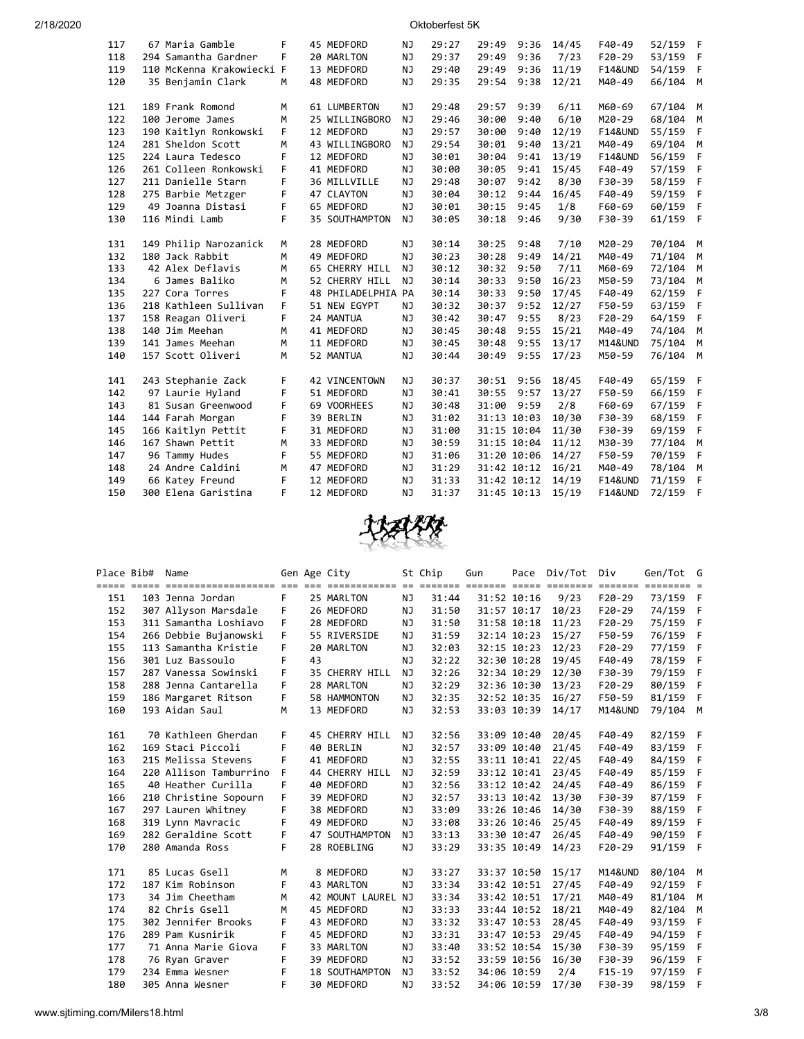| 2/18/2020 |  |  |
|-----------|--|--|
|           |  |  |

Oktoberfest 5K

| 117 | 67 Maria Gamble           | F  | 45 MEDFORD           | NJ        | 29:27 | 29:49       | 9:36 | 14/45 | F40-49             | 52/159 | F            |
|-----|---------------------------|----|----------------------|-----------|-------|-------------|------|-------|--------------------|--------|--------------|
| 118 | 294 Samantha Gardner      | F  | 20 MARLTON           | <b>NJ</b> | 29:37 | 29:49       | 9:36 | 7/23  | $F20-29$           | 53/159 | F            |
| 119 | 110 McKenna Krakowiecki F |    | 13 MEDFORD           | NJ        | 29:40 | 29:49       | 9:36 | 11/19 | <b>F14&amp;UND</b> | 54/159 | F            |
| 120 | 35 Benjamin Clark         | M  | 48 MEDFORD           | NJ        | 29:35 | 29:54       | 9:38 | 12/21 | M40-49             | 66/104 | M            |
|     |                           |    |                      |           |       |             |      |       |                    |        |              |
| 121 | 189 Frank Romond          | М  | 61 LUMBERTON         | ΝJ        | 29:48 | 29:57       | 9:39 | 6/11  | M60-69             | 67/104 | M            |
| 122 | 100 Jerome James          | M  | 25 WILLINGBORO       | <b>NJ</b> | 29:46 | 30:00       | 9:40 | 6/10  | M20-29             | 68/104 | M            |
| 123 | 190 Kaitlyn Ronkowski     | F  | 12 MEDFORD           | NJ        | 29:57 | 30:00       | 9:40 | 12/19 | <b>F14&amp;UND</b> | 55/159 | F            |
| 124 | 281 Sheldon Scott         | м  | 43 WILLINGBORO       | NJ        | 29:54 | 30:01       | 9:40 | 13/21 | M40-49             | 69/104 | М            |
| 125 | 224 Laura Tedesco         | F  | 12 MEDFORD           | NJ        | 30:01 | 30:04       | 9:41 | 13/19 | <b>F14&amp;UND</b> | 56/159 | F            |
| 126 | 261 Colleen Ronkowski     | F  | 41 MEDFORD           | NJ        | 30:00 | 30:05       | 9:41 | 15/45 | F40-49             | 57/159 | F            |
| 127 | 211 Danielle Starn        | F  | 36 MILLVILLE         | NJ        | 29:48 | 30:07       | 9:42 | 8/30  | F30-39             | 58/159 | F            |
| 128 | 275 Barbie Metzger        | F  | 47 CLAYTON           | NJ        | 30:04 | 30:12       | 9:44 | 16/45 | F40-49             | 59/159 | F            |
| 129 | 49 Joanna Distasi         | F  | 65 MEDFORD           | NJ        | 30:01 | 30:15       | 9:45 | 1/8   | F60-69             | 60/159 | F            |
| 130 | 116 Mindi Lamb            | F  | 35 SOUTHAMPTON       | NJ        | 30:05 | 30:18       | 9:46 | 9/30  | F30-39             | 61/159 | $\mathsf{F}$ |
|     |                           |    |                      |           |       |             |      |       |                    |        |              |
| 131 | 149 Philip Narozanick     | М  | 28 MEDFORD           | NJ        | 30:14 | 30:25       | 9:48 | 7/10  | M20-29             | 70/104 | M            |
| 132 | 180 Jack Rabbit           | M  | 49 MEDFORD           | NJ        | 30:23 | 30:28       | 9:49 | 14/21 | M40-49             | 71/104 | M            |
| 133 | 42 Alex Deflavis          | M  | 65 CHERRY HILL       | <b>NJ</b> | 30:12 | 30:32       | 9:50 | 7/11  | M60-69             | 72/104 | M            |
| 134 | 6 James Baliko            | М  | 52 CHERRY HILL       | NJ.       | 30:14 | 30:33       | 9:50 | 16/23 | M50-59             | 73/104 | M            |
| 135 | 227 Cora Torres           | F  | 48 PHILADELPHIA PA   |           | 30:14 | 30:33       | 9:50 | 17/45 | F40-49             | 62/159 | F            |
| 136 | 218 Kathleen Sullivan     | F. | 51 NEW EGYPT         | NJ        | 30:32 | 30:37       | 9:52 | 12/27 | F50-59             | 63/159 | F            |
| 137 | 158 Reagan Oliveri        | F  | 24 MANTUA            | NJ        | 30:42 | 30:47       | 9:55 | 8/23  | $F20-29$           | 64/159 | F            |
| 138 | 140 Jim Meehan            | М  | 41 MEDFORD           | NJ        | 30:45 | 30:48       | 9:55 | 15/21 | M40-49             | 74/104 | M            |
| 139 | 141 James Meehan          | М  | 11 MEDFORD           | NJ        | 30:45 | 30:48       | 9:55 | 13/17 | M14&UND            | 75/104 | M            |
| 140 | 157 Scott Oliveri         | М  | 52 MANTUA            | NJ        | 30:44 | 30:49       | 9:55 | 17/23 | M50-59             | 76/104 | M            |
|     |                           |    |                      |           |       |             |      |       |                    |        |              |
| 141 | 243 Stephanie Zack        | F  | <b>42 VINCENTOWN</b> | NJ        | 30:37 | 30:51       | 9:56 | 18/45 | F40-49             | 65/159 | F            |
| 142 | 97 Laurie Hyland          | F  | 51 MEDFORD           | <b>NJ</b> | 30:41 | 30:55       | 9:57 | 13/27 | F50-59             | 66/159 | F            |
| 143 | 81 Susan Greenwood        | F  | 69 VOORHEES          | <b>NJ</b> | 30:48 | 31:00       | 9:59 | 2/8   | F60-69             | 67/159 | F            |
| 144 | 144 Farah Morgan          | F  | 39 BERLIN            | <b>NJ</b> | 31:02 | 31:13 10:03 |      | 10/30 | F30-39             | 68/159 | F            |
| 145 | 166 Kaitlyn Pettit        | F. | 31 MEDFORD           | <b>NJ</b> | 31:00 | 31:15 10:04 |      | 11/30 | F30-39             | 69/159 | F            |
| 146 | 167 Shawn Pettit          | м  | 33 MEDFORD           | NJ        | 30:59 | 31:15 10:04 |      | 11/12 | M30-39             | 77/104 | М            |
| 147 | 96 Tammy Hudes            | F. | 55 MEDFORD           | NJ        | 31:06 | 31:20 10:06 |      | 14/27 | F50-59             | 70/159 | F            |
| 148 | 24 Andre Caldini          | М  | 47 MEDFORD           | <b>NJ</b> | 31:29 | 31:42 10:12 |      | 16/21 | M40-49             | 78/104 | M            |
| 149 | 66 Katey Freund           | F  | 12 MEDFORD           | NJ        | 31:33 | 31:42 10:12 |      | 14/19 | <b>F14&amp;UND</b> | 71/159 | F            |
| 150 | 300 Elena Garistina       | F  | 12 MEDFORD           | NJ        | 31:37 | 31:45 10:13 |      | 15/19 | <b>F14&amp;UND</b> | 72/159 | F            |
|     |                           |    |                      |           |       |             |      |       |                    |        |              |



| Place Bib# | Name                                                                                                         |    |    | Gen Age City       |           | St Chip | Gun         | Pace        | Div/Tot | Div                | Gen/Tot G |     |
|------------|--------------------------------------------------------------------------------------------------------------|----|----|--------------------|-----------|---------|-------------|-------------|---------|--------------------|-----------|-----|
|            | <u>soor ooks concerterenteren een een besterenten en ookste ookste colon besteen besten ookste bestekt t</u> |    |    |                    |           |         |             |             |         |                    |           |     |
| 151        | 103 Jenna Jordan                                                                                             | F. |    | 25 MARLTON         | NJ        | 31:44   |             | 31:52 10:16 | 9/23    | $F20-29$           | 73/159 F  |     |
| 152        | 307 Allyson Marsdale                                                                                         | F  |    | 26 MEDFORD         | NJ.       | 31:50   |             | 31:57 10:17 | 10/23   | $F20-29$           | 74/159    | - F |
| 153        | 311 Samantha Loshiavo                                                                                        | F  |    | 28 MEDFORD         | NJ        | 31:50   | 31:58 10:18 |             | 11/23   | $F20-29$           | 75/159    | - F |
| 154        | 266 Debbie Bujanowski                                                                                        | F. |    | 55 RIVERSIDE       | NJ        | 31:59   |             | 32:14 10:23 | 15/27   | F50-59             | 76/159    | F   |
| 155        | 113 Samantha Kristie                                                                                         | F  |    | 20 MARLTON         | NJ.       | 32:03   |             | 32:15 10:23 | 12/23   | $F20-29$           | 77/159    | F   |
| 156        | 301 Luz Bassoulo                                                                                             | F  | 43 |                    | NJ        | 32:22   |             | 32:30 10:28 | 19/45   | F40-49             | 78/159    | F   |
| 157        | 287 Vanessa Sowinski                                                                                         | F  |    | 35 CHERRY HILL     | <b>NJ</b> | 32:26   |             | 32:34 10:29 | 12/30   | F30-39             | 79/159    | -F  |
| 158        | 288 Jenna Cantarella                                                                                         | F. |    | 28 MARLTON         | NJ        | 32:29   |             | 32:36 10:30 | 13/23   | $F20-29$           | 80/159    | F   |
| 159        | 186 Margaret Ritson                                                                                          | F. |    | 58 HAMMONTON       | ΝJ        | 32:35   |             | 32:52 10:35 | 16/27   | F50-59             | 81/159    | F   |
| 160        | 193 Aidan Saul                                                                                               | M  |    | 13 MEDFORD         | ΝJ        | 32:53   |             | 33:03 10:39 | 14/17   | M14&UND            | 79/104 M  |     |
|            |                                                                                                              |    |    |                    |           |         |             |             |         |                    |           |     |
| 161        | 70 Kathleen Gherdan                                                                                          | F  |    | 45 CHERRY HILL     | NJ        | 32:56   | 33:09 10:40 |             | 20/45   | F40-49             | 82/159 F  |     |
| 162        | 169 Staci Piccoli                                                                                            | F  |    | 40 BERLIN          | NJ        | 32:57   | 33:09 10:40 |             | 21/45   | F40-49             | 83/159    | - F |
| 163        | 215 Melissa Stevens                                                                                          | F  |    | 41 MEDFORD         | ΝJ        | 32:55   |             | 33:11 10:41 | 22/45   | F40-49             | 84/159    | F   |
| 164        | 220 Allison Tamburrino                                                                                       | F  |    | 44 CHERRY HILL     | ΝJ        | 32:59   | 33:12 10:41 |             | 23/45   | F40-49             | 85/159    | F   |
| 165        | 40 Heather Curilla                                                                                           | F  |    | 40 MEDFORD         | NJ        | 32:56   |             | 33:12 10:42 | 24/45   | F40-49             | 86/159    | F   |
| 166        | 210 Christine Sopourn                                                                                        | F  |    | 39 MEDFORD         | NJ.       | 32:57   |             | 33:13 10:42 | 13/30   | F30-39             | 87/159    | F   |
| 167        | 297 Lauren Whitney                                                                                           | F  |    | 38 MEDFORD         | ΝJ        | 33:09   |             | 33:26 10:46 | 14/30   | F30-39             | 88/159    | - F |
| 168        | 319 Lynn Mavracic                                                                                            | F  |    | 49 MEDFORD         | NJ.       | 33:08   |             | 33:26 10:46 | 25/45   | F40-49             | 89/159    | F   |
| 169        | 282 Geraldine Scott                                                                                          | F  |    | 47 SOUTHAMPTON     | NJ.       | 33:13   |             | 33:30 10:47 | 26/45   | F40-49             | 90/159    | F   |
| 170        | 280 Amanda Ross                                                                                              | F  |    | 28 ROEBLING        | NJ        | 33:29   |             | 33:35 10:49 | 14/23   | $F20-29$           | 91/159    | - F |
|            |                                                                                                              |    |    |                    |           |         |             |             |         |                    |           |     |
| 171        | 85 Lucas Gsell                                                                                               | M  |    | 8 MEDFORD          | ΝJ        | 33:27   |             | 33:37 10:50 | 15/17   | <b>M14&amp;UND</b> | 80/104 M  |     |
| 172        | 187 Kim Robinson                                                                                             | F  |    | 43 MARLTON         | NJ        | 33:34   | 33:42 10:51 |             | 27/45   | F40-49             | 92/159    | - F |
| 173        | 34 Jim Cheetham                                                                                              | M  |    | 42 MOUNT LAUREL NJ |           | 33:34   | 33:42 10:51 |             | 17/21   | M40-49             | 81/104    | M   |
| 174        | 82 Chris Gsell                                                                                               | M  |    | 45 MEDFORD         | NJ        | 33:33   |             | 33:44 10:52 | 18/21   | M40-49             | 82/104    | M   |
| 175        | 302 Jennifer Brooks                                                                                          | F  |    | 43 MEDFORD         | NJ        | 33:32   |             | 33:47 10:53 | 28/45   | F40-49             | 93/159    | F   |
| 176        | 289 Pam Kusnirik                                                                                             | F  |    | 45 MEDFORD         | NJ        | 33:31   |             | 33:47 10:53 | 29/45   | F40-49             | 94/159    | F   |
| 177        | 71 Anna Marie Giova                                                                                          | F  |    | 33 MARLTON         | NJ        | 33:40   |             | 33:52 10:54 | 15/30   | F30-39             | 95/159    | F   |
| 178        | 76 Ryan Graver                                                                                               | F  |    | 39 MEDFORD         | NJ.       | 33:52   |             | 33:59 10:56 | 16/30   | F30-39             | 96/159    | F   |
| 179        | 234 Emma Wesner                                                                                              | F  |    | 18 SOUTHAMPTON     | NJ        | 33:52   | 34:06 10:59 |             | 2/4     | $F15-19$           | 97/159    | F   |
| 180        | 305 Anna Wesner                                                                                              | F  |    | 30 MEDFORD         | NJ        | 33:52   |             | 34:06 10:59 | 17/30   | F30-39             | 98/159    | - F |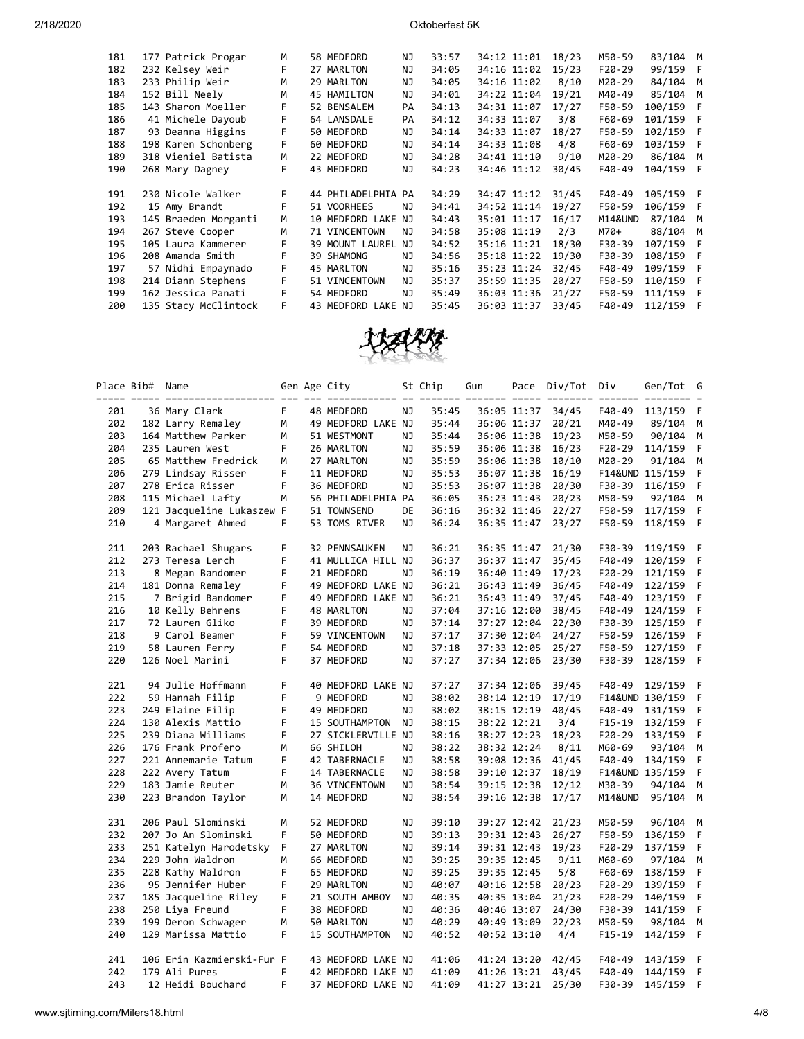| 181 | 177 Patrick Progar   | м  | 58 MEDFORD         | NJ  | 33:57 | 34:12 11:01 | 18/23 | M50-59   | 83/104 M  |     |
|-----|----------------------|----|--------------------|-----|-------|-------------|-------|----------|-----------|-----|
| 182 | 232 Kelsey Weir      | F  | 27 MARLTON         | NJ  | 34:05 | 34:16 11:02 | 15/23 | $F20-29$ | 99/159    | - F |
| 183 | 233 Philip Weir      | M  | 29 MARLTON         | ΝJ  | 34:05 | 34:16 11:02 | 8/10  | M20-29   | 84/104    | M   |
| 184 | 152 Bill Neely       | M  | 45 HAMILTON        | NJ  | 34:01 | 34:22 11:04 | 19/21 | M40-49   | 85/104    | M   |
| 185 | 143 Sharon Moeller   |    | 52 BENSALEM        | PA  | 34:13 | 34:31 11:07 | 17/27 | F50-59   | 100/159   | - F |
| 186 | 41 Michele Dayoub    | F  | 64 LANSDALE        | PA  | 34:12 | 34:33 11:07 | 3/8   | F60-69   | 101/159   | - F |
| 187 | 93 Deanna Higgins    | F  | 50 MEDFORD         | NJ  | 34:14 | 34:33 11:07 | 18/27 | F50-59   | 102/159   | F   |
| 188 | 198 Karen Schonberg  | F  | 60 MEDFORD         | NJ  | 34:14 | 34:33 11:08 | 4/8   | F60-69   | 103/159   | F   |
| 189 | 318 Vieniel Batista  | м  | 22 MEDFORD         | NJ  | 34:28 | 34:41 11:10 | 9/10  | M20-29   | 86/104    | M   |
| 190 | 268 Mary Dagney      | F  | 43 MEDFORD         | ΝJ  | 34:23 | 34:46 11:12 | 30/45 | F40-49   | 104/159 F |     |
|     |                      |    |                    |     |       |             |       |          |           |     |
| 191 | 230 Nicole Walker    | F. | 44 PHILADELPHIA PA |     | 34:29 | 34:47 11:12 | 31/45 | F40-49   | 105/159 F |     |
| 192 | 15 Amy Brandt        | F  | 51 VOORHEES        | ΝJ  | 34:41 | 34:52 11:14 | 19/27 | F50-59   | 106/159 F |     |
| 193 | 145 Braeden Morganti | м  | 10 MEDFORD LAKE NJ |     | 34:43 | 35:01 11:17 | 16/17 | M14&UND  | 87/104    | M   |
| 194 | 267 Steve Cooper     | M  | 71 VINCENTOWN      | NJ. | 34:58 | 35:08 11:19 | 2/3   | M70+     | 88/104    | M   |
| 195 | 105 Laura Kammerer   | F  | 39 MOUNT LAUREL    | NJ  | 34:52 | 35:16 11:21 | 18/30 | F30-39   | 107/159   | F   |
| 196 | 208 Amanda Smith     | F  | 39 SHAMONG         | ΝJ  | 34:56 | 35:18 11:22 | 19/30 | F30-39   | 108/159   | F   |
| 197 | 57 Nidhi Empaynado   | F  | 45 MARLTON         | NJ  | 35:16 | 35:23 11:24 | 32/45 | F40-49   | 109/159   | - F |
| 198 | 214 Diann Stephens   | F  | 51 VINCENTOWN      | NJ  | 35:37 | 35:59 11:35 | 20/27 | F50-59   | 110/159   | F   |
| 199 | 162 Jessica Panati   | F  | 54 MEDFORD         | NJ  | 35:49 | 36:03 11:36 | 21/27 | F50-59   | 111/159   | F   |
| 200 | 135 Stacy McClintock | F. | 43 MEDFORD LAKE NJ |     | 35:45 | 36:03 11:37 | 33/45 | F40-49   | 112/159   | F   |
|     |                      |    |                    |     |       |             |       |          |           |     |



|     | Place Bib# | Name                      |    | Gen Age City       |           | St Chip | Gun         |             | Pace Div/Tot Div |            | Gen/Tot G       |    |
|-----|------------|---------------------------|----|--------------------|-----------|---------|-------------|-------------|------------------|------------|-----------------|----|
| 201 |            | 36 Mary Clark             | F. | 48 MEDFORD         | ΝJ        | 35:45   |             | 36:05 11:37 | 34/45            | F40-49     | 113/159         | F  |
| 202 |            | 182 Larry Remaley         | М  | 49 MEDFORD LAKE NJ |           | 35:44   |             | 36:06 11:37 | 20/21            | M40-49     | 89/104          | М  |
| 203 |            | 164 Matthew Parker        | M  | 51 WESTMONT        | ΝJ        | 35:44   |             | 36:06 11:38 | 19/23            | M50-59     | 90/104          | М  |
| 204 |            | 235 Lauren West           | F  | 26 MARLTON         | ΝJ        | 35:59   |             | 36:06 11:38 | 16/23            | $F20-29$   | 114/159         | F  |
| 205 |            | 65 Matthew Fredrick       | M  | 27 MARLTON         | ΝJ        | 35:59   |             | 36:06 11:38 | 10/10            | M20-29     | 91/104          | M  |
| 206 |            | 279 Lindsay Risser        | F  | 11 MEDFORD         | ΝJ        | 35:53   |             | 36:07 11:38 | 16/19            |            | F14&UND 115/159 | F  |
| 207 |            | 278 Erica Risser          | F  | 36 MEDFORD         | NJ        | 35:53   |             | 36:07 11:38 | 20/30            | F30-39     | 116/159         | F  |
| 208 |            | 115 Michael Lafty         | M  | 56 PHILADELPHIA PA |           | 36:05   |             | 36:23 11:43 | 20/23            | M50-59     | 92/104          | M  |
| 209 |            | 121 Jacqueline Lukaszew F |    | 51 TOWNSEND        | DE        | 36:16   |             | 36:32 11:46 | 22/27            | F50-59     | 117/159         | F  |
| 210 |            | 4 Margaret Ahmed          | F. | 53 TOMS RIVER      | ΝJ        | 36:24   |             | 36:35 11:47 | 23/27            | F50-59     | 118/159         | F  |
| 211 |            | 203 Rachael Shugars       | F  | 32 PENNSAUKEN      | ΝJ        | 36:21   |             | 36:35 11:47 | 21/30            | F30-39     | 119/159         | F  |
| 212 |            | 273 Teresa Lerch          | F  | 41 MULLICA HILL NJ |           | 36:37   |             | 36:37 11:47 | 35/45            | F40-49     | 120/159         | F. |
| 213 |            | 8 Megan Bandomer          | F  | 21 MEDFORD         | ΝJ        | 36:19   |             | 36:40 11:49 | 17/23            | F20-29     | 121/159         | F  |
| 214 |            | 181 Donna Remaley         | F  | 49 MEDFORD LAKE NJ |           | 36:21   |             | 36:43 11:49 | 36/45            | F40-49     | 122/159         | F  |
| 215 |            | 7 Brigid Bandomer         | F  | 49 MEDFORD LAKE NJ |           | 36:21   |             | 36:43 11:49 | 37/45            | F40-49     | 123/159         | F  |
| 216 |            | 10 Kelly Behrens          | F  | 48 MARLTON         | ΝJ        | 37:04   |             | 37:16 12:00 | 38/45            | F40-49     | 124/159         | F  |
| 217 |            | 72 Lauren Gliko           | F  | 39 MEDFORD         | ΝJ        | 37:14   |             | 37:27 12:04 | 22/30            | F30-39     | 125/159         | F  |
| 218 |            | 9 Carol Beamer            | F  | 59 VINCENTOWN      | NJ        | 37:17   |             | 37:30 12:04 | 24/27            | F50-59     | 126/159         | F  |
| 219 |            | 58 Lauren Ferry           | F  | 54 MEDFORD         | NJ        | 37:18   |             | 37:33 12:05 | 25/27            | F50-59     | 127/159         | F  |
| 220 |            | 126 Noel Marini           | F  | 37 MEDFORD         | NJ        | 37:27   |             | 37:34 12:06 | 23/30            | F30-39     | 128/159         | F. |
| 221 |            | 94 Julie Hoffmann         | F  | 40 MEDFORD LAKE NJ |           | 37:27   |             | 37:34 12:06 | 39/45            | F40-49     | 129/159         | F  |
| 222 |            | 59 Hannah Filip           | F  | 9 MEDFORD          | <b>NJ</b> | 38:02   |             | 38:14 12:19 | 17/19            |            | F14&UND 130/159 | F  |
| 223 |            | 249 Elaine Filip          | F  | 49 MEDFORD         | NJ        | 38:02   |             | 38:15 12:19 | 40/45            | F40-49     | 131/159         | F  |
| 224 |            | 130 Alexis Mattio         | F  | 15 SOUTHAMPTON     | ΝJ        | 38:15   |             | 38:22 12:21 | 3/4              | $F15-19$   | 132/159         | F  |
| 225 |            | 239 Diana Williams        | F  | 27 SICKLERVILLE NJ |           | 38:16   |             | 38:27 12:23 | 18/23            | F20-29     | 133/159         | F  |
| 226 |            | 176 Frank Profero         | м  | 66 SHILOH          | ΝJ        | 38:22   |             | 38:32 12:24 | 8/11             | M60-69     | 93/104          | M  |
| 227 |            | 221 Annemarie Tatum       | F  | 42 TABERNACLE      | ΝJ        | 38:58   |             | 39:08 12:36 | 41/45            | F40-49     | 134/159         | F  |
| 228 |            | 222 Avery Tatum           | F  | 14 TABERNACLE      | ΝJ        | 38:58   |             | 39:10 12:37 | 18/19            |            | F14&UND 135/159 | F  |
| 229 |            | 183 Jamie Reuter          | M  | 36 VINCENTOWN      | NJ        | 38:54   |             | 39:15 12:38 | 12/12            | M30-39     | 94/104          | M  |
| 230 |            | 223 Brandon Taylor        | M  | 14 MEDFORD         | NJ        | 38:54   |             | 39:16 12:38 | 17/17            | M14&UND    | 95/104          | М  |
| 231 |            | 206 Paul Slominski        | M  | 52 MEDFORD         | ΝJ        | 39:10   |             | 39:27 12:42 | 21/23            | M50-59     | 96/104          | М  |
| 232 |            | 207 Jo An Slominski       | F  | 50 MEDFORD         | ΝJ        | 39:13   |             | 39:31 12:43 | 26/27            | F50-59     | 136/159         | F  |
| 233 |            | 251 Katelyn Harodetsky    | F  | 27 MARLTON         | ΝJ        | 39:14   |             | 39:31 12:43 | 19/23            | F20-29     | 137/159         | F  |
| 234 |            | 229 John Waldron          | M  | 66 MEDFORD         | ΝJ        | 39:25   |             | 39:35 12:45 | 9/11             | M60-69     | 97/104          | М  |
| 235 |            | 228 Kathy Waldron         | F  | 65 MEDFORD         | ΝJ        | 39:25   |             | 39:35 12:45 | 5/8              | F60-69     | 138/159         | F  |
| 236 |            | 95 Jennifer Huber         | F  | 29 MARLTON         | ΝJ        | 40:07   |             | 40:16 12:58 | 20/23            | F20-29     | 139/159         | F  |
| 237 |            | 185 Jacqueline Riley      | F  | 21 SOUTH AMBOY     | ΝJ        | 40:35   |             | 40:35 13:04 | 21/23            | $F20-29$   | 140/159         | F  |
| 238 |            | 250 Liya Freund           | F  | 38 MEDFORD         | ΝJ        | 40:36   |             | 40:46 13:07 | 24/30            | F30-39     | 141/159         | F  |
| 239 |            | 199 Deron Schwager        | М  | 50 MARLTON         | NJ        | 40:29   |             | 40:49 13:09 | 22/23            | M50-59     | 98/104          | M  |
| 240 |            | 129 Marissa Mattio        | F. | 15 SOUTHAMPTON     | NJ.       | 40:52   |             | 40:52 13:10 | 4/4              | $F15 - 19$ | 142/159         | F  |
| 241 |            | 106 Erin Kazmierski-Fur F |    | 43 MEDFORD LAKE NJ |           | 41:06   |             | 41:24 13:20 | 42/45            | F40-49     | 143/159         | F  |
| 242 |            | 179 Ali Pures             | F  | 42 MEDFORD LAKE NJ |           | 41:09   |             | 41:26 13:21 | 43/45            | F40-49     | 144/159         | F  |
| 243 |            | 12 Heidi Bouchard         | F  | 37 MEDFORD LAKE NJ |           | 41:09   | 41:27 13:21 |             | 25/30            | F30-39     | 145/159         | F  |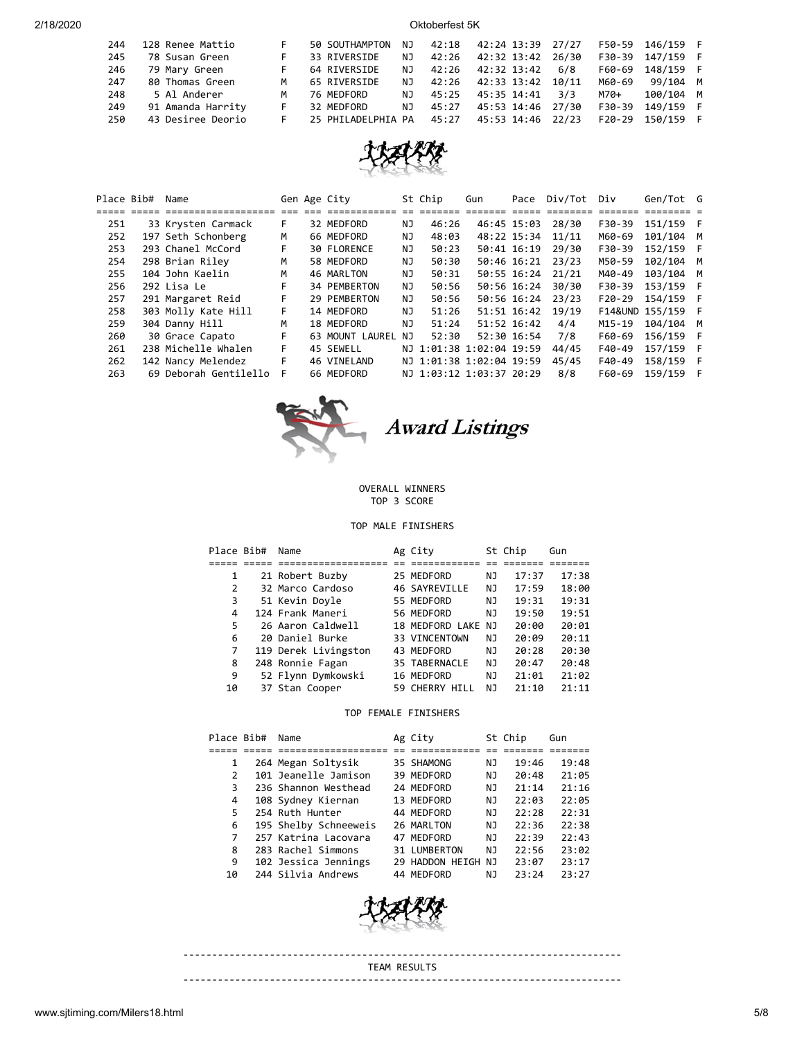| 244 | 128 Renee Mattio  |   | 50 SOUTHAMPTON     | NJ. | 42:18 | 42:24 13:39 27/27 |       |          | F50-59 146/159 F |  |
|-----|-------------------|---|--------------------|-----|-------|-------------------|-------|----------|------------------|--|
| 245 | 78 Susan Green    |   | 33 RIVERSIDE       | NJ. | 42:26 | 42:32 13:42 26/30 |       | F30-39   | 147/159 F        |  |
| 246 | 79 Mary Green     |   | 64 RIVERSIDE       | NJ. | 42:26 | 42:32 13:42       | 6/8   | F60-69   | 148/159 F        |  |
| 247 | 80 Thomas Green   | м | 65 RIVERSIDE       | N J | 42:26 | 42:33 13:42 10/11 |       | M60-69   | 99/104 M         |  |
| 248 | 5 Al Anderer      | м | 76 MEDFORD         | NJ. | 45:25 | 45:35 14:41       | 3/3   | M70+     | 100/104 M        |  |
| 249 | 91 Amanda Harrity |   | 32 MEDFORD         | NJ. | 45:27 | 45:53 14:46 27/30 |       | F30-39   | 149/159 F        |  |
| 250 | 43 Desiree Deorio |   | 25 PHILADELPHIA PA |     | 45:27 | 45:53 14:46       | 22/23 | $F20-29$ | 150/159 F        |  |



| Place Bib# | Name                  |    | Gen Age City       |     | St Chip                  | Gun | Pace        | Div/Tot | Div      | Gen/Tot G       |   |
|------------|-----------------------|----|--------------------|-----|--------------------------|-----|-------------|---------|----------|-----------------|---|
|            |                       |    |                    |     |                          |     |             |         |          |                 |   |
| 251        | 33 Krysten Carmack    | F. | 32 MEDFORD         | ΝJ  | 46:26                    |     | 46:45 15:03 | 28/30   | F30-39   | 151/159 F       |   |
| 252        | 197 Seth Schonberg    | м  | 66 MEDFORD         | ΝJ  | 48:03                    |     | 48:22 15:34 | 11/11   | M60-69   | 101/104 M       |   |
| 253        | 293 Chanel McCord     | F. | <b>30 FLORENCE</b> | NJ. | 50:23                    |     | 50:41 16:19 | 29/30   | F30-39   | 152/159 F       |   |
| 254        | 298 Brian Riley       | м  | 58 MEDFORD         | NJ. | 50:30                    |     | 50:46 16:21 | 23/23   | M50-59   | 102/104 M       |   |
| 255        | 104 John Kaelin       | М  | 46 MARLTON         | ΝJ  | 50:31                    |     | 50:55 16:24 | 21/21   | M40-49   | 103/104         | M |
| 256        | 292 Lisa Le           | F  | 34 PEMBERTON       | NJ. | 50:56                    |     | 50:56 16:24 | 30/30   | F30-39   | 153/159         |   |
| 257        | 291 Margaret Reid     | F  | 29 PEMBERTON       | NJ. | 50:56                    |     | 50:56 16:24 | 23/23   | $F20-29$ | 154/159         |   |
| 258        | 303 Molly Kate Hill   | F. | 14 MEDFORD         | NJ. | 51:26                    |     | 51:51 16:42 | 19/19   |          | F14&UND 155/159 |   |
| 259        | 304 Danny Hill        | М  | 18 MEDFORD         | NJ. | 51:24                    |     | 51:52 16:42 | 4/4     | M15-19   | 104/104 M       |   |
| 260        | 30 Grace Capato       | F  | 63 MOUNT LAUREL NJ |     | 52:30                    |     | 52:30 16:54 | 7/8     | F60-69   | 156/159         |   |
| 261        | 238 Michelle Whalen   | F. | 45 SEWELL          |     | NJ 1:01:38 1:02:04 19:59 |     |             | 44/45   | F40-49   | 157/159 F       |   |
| 262        | 142 Nancy Melendez    | F  | 46 VINELAND        |     | NJ 1:01:38 1:02:04 19:59 |     |             | 45/45   | F40-49   | 158/159         | E |
| 263        | 69 Deborah Gentilello | F  | 66 MEDFORD         |     | NJ 1:03:12 1:03:37 20:29 |     |             | 8/8     | F60-69   | 159/159         |   |



Award Listings

### OVERALL WINNERS TOP 3 SCORE

### TOP MALE FINISHERS

| Place Bib# | Name                 | Ag City            |    | St Chip | Gun   |
|------------|----------------------|--------------------|----|---------|-------|
|            |                      |                    |    |         |       |
| 1          | 21 Robert Buzby      | 25 MEDFORD         | ΝJ | 17:37   | 17:38 |
| 2          | 32 Marco Cardoso     | 46 SAYREVILLE      | NJ | 17:59   | 18:00 |
| 3          | 51 Kevin Doyle       | 55 MEDFORD         | NJ | 19:31   | 19:31 |
| 4          | 124 Frank Maneri     | 56 MEDFORD         | NJ | 19:50   | 19:51 |
| 5          | 26 Aaron Caldwell    | 18 MEDFORD LAKE NJ |    | 20:00   | 20:01 |
| 6          | 20 Daniel Burke      | 33 VINCENTOWN      | NJ | 20:09   | 20:11 |
| 7          | 119 Derek Livingston | 43 MEDFORD         | ΝJ | 20:28   | 20:30 |
| 8          | 248 Ronnie Fagan     | 35 TABERNACLE      | ΝJ | 20:47   | 20:48 |
| 9          | 52 Flynn Dymkowski   | 16 MEDFORD         | NJ | 21:01   | 21:02 |
| 10         | 37 Stan Cooper       | 59 CHERRY HILL     | ΝJ | 21:10   | 21:11 |

### TOP FEMALE FINISHERS

| Place Bib#    | Name                  | Ag City            |    | St Chip | Gun   |
|---------------|-----------------------|--------------------|----|---------|-------|
|               |                       |                    |    |         |       |
| 1             | 264 Megan Soltysik    | 35 SHAMONG         | ΝJ | 19:46   | 19:48 |
| $\mathcal{P}$ | 101 Jeanelle Jamison  | 39 MEDFORD         | ΝJ | 20:48   | 21:05 |
| 3             | 236 Shannon Westhead  | 24 MEDFORD         | ΝJ | 21:14   | 21:16 |
| 4             | 108 Sydney Kiernan    | 13 MEDFORD         | NJ | 22:03   | 22:05 |
| 5.            | 254 Ruth Hunter       | 44 MEDFORD         | NJ | 22:28   | 22:31 |
| 6             | 195 Shelby Schneeweis | 26 MARLTON         | NJ | 22:36   | 22:38 |
| 7             | 257 Katrina Lacovara  | 47 MEDFORD         | NJ | 22:39   | 22:43 |
| 8             | 283 Rachel Simmons    | 31 LUMBERTON       | NJ | 22:56   | 23:02 |
| 9             | 102 Jessica Jennings  | 29 HADDON HEIGH NJ |    | 23:07   | 23:17 |
| 10            | 244 Silvia Andrews    | 44 MEDFORD         | ΝJ | 23:24   | 23:27 |



TEAM RESULTS

----------------------------------------------------------------------------

----------------------------------------------------------------------------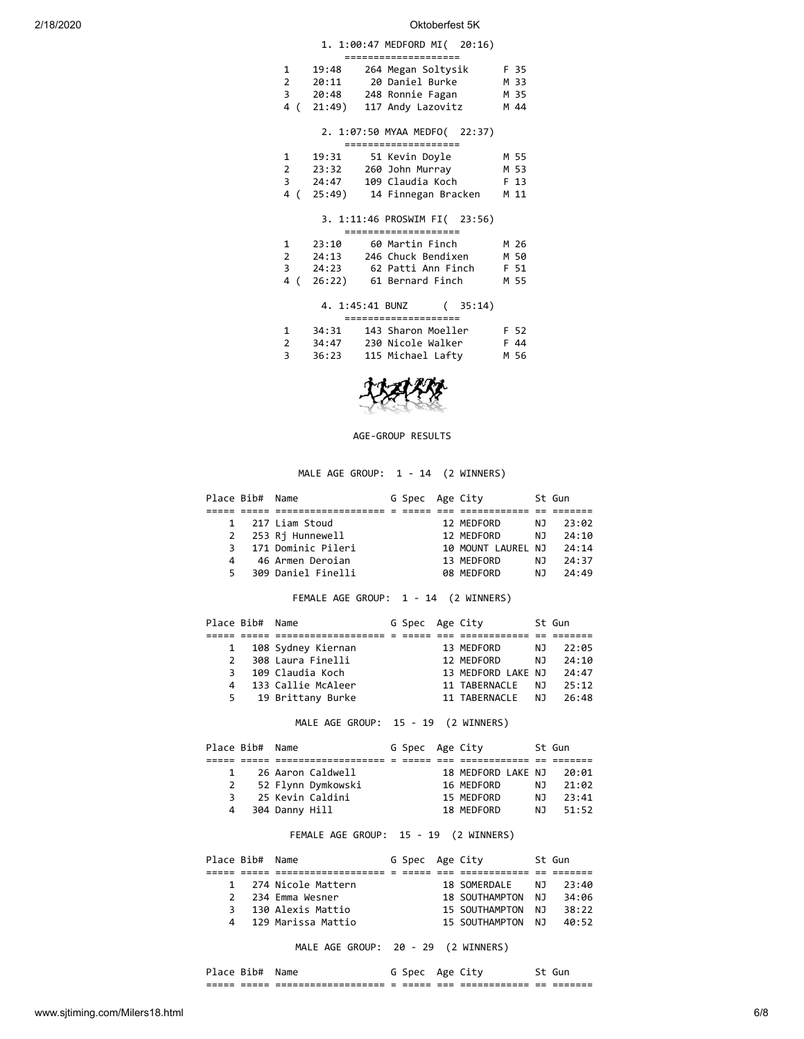|                |                    | 1. 1:00:47 MEDFORD MI( 20:16)<br>=====================                                                |                      |
|----------------|--------------------|-------------------------------------------------------------------------------------------------------|----------------------|
|                | 1 19:48<br>2 20:11 | 264 Megan Soltysik F 35<br>20 Daniel Burke<br>3 20:48 248 Ronnie Fagan<br>4 (21:49) 117 Andy Lazovitz | M 33<br>M 35<br>M 44 |
|                |                    | 2. 1:07:50 MYAA MEDFO( 22:37)                                                                         |                      |
|                |                    | =====================                                                                                 |                      |
|                | 1 19:31            | 51 Kevin Doyle                                                                                        | M 55                 |
|                | 2 23:32            | 260 John Murray                                                                                       | M 53                 |
| 3              | 24:47              | 109 Claudia Koch                                                                                      | F 13                 |
|                |                    | 4 (25:49) 14 Finnegan Bracken                                                                         | M 11                 |
|                |                    | 3. 1:11:46 PROSWIM FI( 23:56)<br>=====================                                                |                      |
| 1              | 23:10              | 60 Martin Finch                                                                                       | M 26                 |
|                |                    | 2 24:13 246 Chuck Bendixen                                                                            | M 50                 |
| $\overline{3}$ |                    | 24:23      62 Patti Ann Finch                                                                         | F 51                 |
|                |                    | 4 (26:22) 61 Bernard Finch                                                                            | M 55                 |
|                |                    |                                                                                                       |                      |
|                |                    | 4. 1:45:41 BUNZ<br>(35:14)<br>====================                                                    |                      |
| 1              | 34:31              | 143 Sharon Moeller                                                                                    | F 52                 |
| 2              | 34:47              |                                                                                                       | F 44                 |
|                |                    | 230 Nicole Walker                                                                                     |                      |





AGE-GROUP RESULTS

### MALE AGE GROUP: 1 - 14 (2 WINNERS)

|    | Place Bib# Name |                    | G Spec Age City |                    |     | St Gun |
|----|-----------------|--------------------|-----------------|--------------------|-----|--------|
|    |                 |                    |                 |                    |     |        |
|    |                 | 1 217 Liam Stoud   |                 | 12 MEDFORD         | NJ. | 23:02  |
|    |                 | 2 253 Rj Hunnewell |                 | 12 MEDFORD         | NJ. | 24:10  |
| 3  |                 | 171 Dominic Pileri |                 | 10 MOUNT LAUREL NJ |     | 24:14  |
| 4  |                 | 46 Armen Deroian   |                 | 13 MEDFORD         | NJ. | 24:37  |
| 5. |                 | 309 Daniel Finelli |                 | 08 MEDFORD         | N.  | 74.49  |

FEMALE AGE GROUP: 1 - 14 (2 WINNERS)

|               | Place Bib# Name |                     | G Spec Age City |                    |     | St Gun |
|---------------|-----------------|---------------------|-----------------|--------------------|-----|--------|
|               |                 |                     |                 |                    |     |        |
| $\mathbf{1}$  |                 | 108 Sydney Kiernan  |                 | 13 MEDFORD         | NJ. | 22:05  |
| $\mathcal{P}$ |                 | 308 Laura Finelli   |                 | 12 MEDFORD         | NJ. | 74:10  |
| 3.            |                 | 109 Claudia Koch    |                 | 13 MEDFORD LAKE NJ |     | 74:47  |
| 4             |                 | 133 Callie McAleer  |                 | 11 TABERNACLE      | N J | 25:12  |
|               |                 | 5 19 Brittany Burke |                 | 11 TABERNACLE      | N J | 26:48  |

MALE AGE GROUP: 15 - 19 (2 WINNERS)

| Place Bib# Name |                    | G Spec Age City |                    |     | St Gun |
|-----------------|--------------------|-----------------|--------------------|-----|--------|
|                 |                    |                 |                    |     |        |
|                 | 26 Aaron Caldwell  |                 | 18 MEDFORD LAKE NJ |     | 20:01  |
|                 | 52 Flynn Dymkowski |                 | 16 MEDFORD         | NJ. | 21:02  |
| 3               | 25 Kevin Caldini   |                 | 15 MEDFORD         | NJ. | 23:41  |
|                 | 4 304 Danny Hill   |                 | 18 MEDFORD         | N J | 51:52  |

### FEMALE AGE GROUP: 15 - 19 (2 WINNERS)

| Place Bib# Name |                      | G Spec Age City |                   |     | St Gun |
|-----------------|----------------------|-----------------|-------------------|-----|--------|
|                 |                      |                 |                   |     |        |
|                 | 1 274 Nicole Mattern |                 | 18 SOMERDALE      | NJ. | 23:40  |
| $\mathcal{P}$   | 234 Emma Wesner      |                 | 18 SOUTHAMPTON NJ |     | 34:06  |
| २               | 130 Alexis Mattio    |                 | 15 SOUTHAMPTON NJ |     | 38:22  |
|                 | 4 129 Marissa Mattio |                 | 15 SOUTHAMPTON NJ |     | 40:52  |

MALE AGE GROUP: 20 - 29 (2 WINNERS)

Place Bib# Name G Spec Age City 5t Gun ===== ===== =================== = ===== === ============ == =======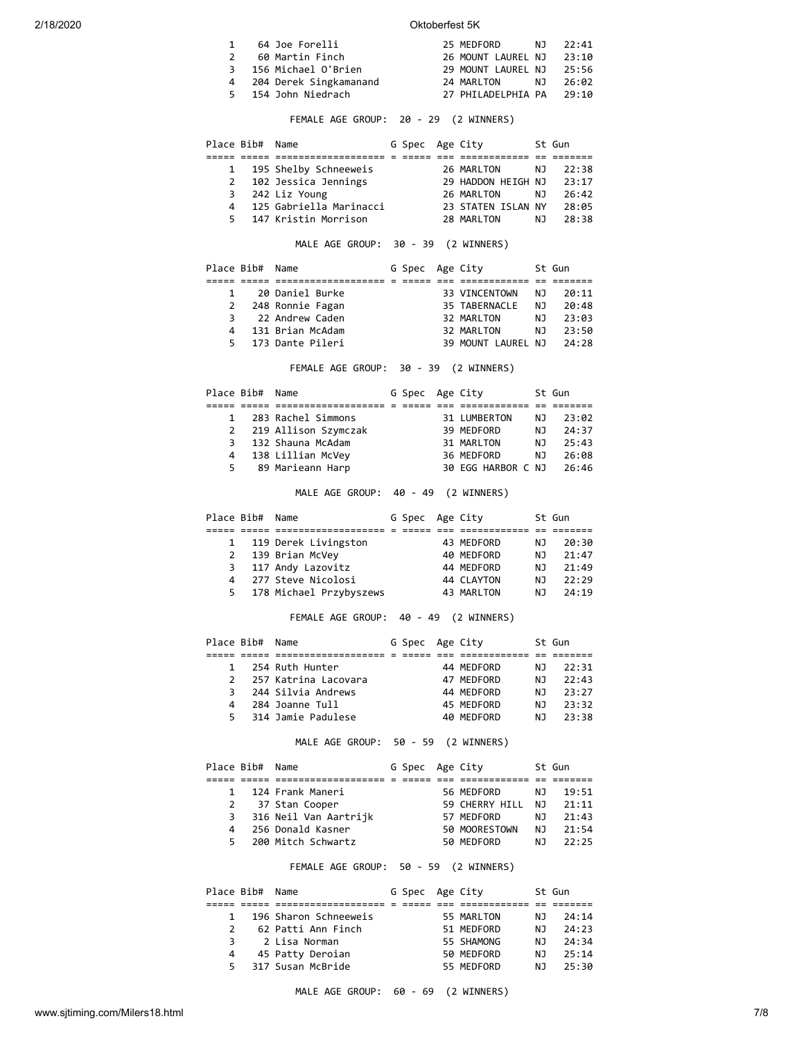|               | 64 Joe Forelli           | 25 MEDFORD NJ 22:41      |       |
|---------------|--------------------------|--------------------------|-------|
| $\mathcal{P}$ | 60 Martin Finch          | 26 MOUNT LAUREL NJ       | 23:10 |
|               | 3 156 Michael O'Brien    | 29 MOUNT LAUREL NJ       | 25:56 |
|               | 4 204 Derek Singkamanand | 24 MARLTON NJ            | 26:02 |
|               | 5 154 John Niedrach      | 27 PHILADELPHIA PA 29:10 |       |

## FEMALE AGE GROUP: 20 - 29 (2 WINNERS)

|   | Place Bib# Name |                         | G Spec Age City |                    |     | St Gun |
|---|-----------------|-------------------------|-----------------|--------------------|-----|--------|
|   |                 |                         |                 |                    |     |        |
|   |                 | 1 195 Shelby Schneeweis |                 | 26 MARLTON         | NJ. | 22:38  |
|   |                 | 2 102 Jessica Jennings  |                 | 29 HADDON HEIGH NJ |     | 23:17  |
|   |                 | 3 242 Liz Young         |                 | 26 MARLTON         | NJ. | 26:42  |
| 4 |                 | 125 Gabriella Marinacci |                 | 23 STATEN ISLAN NY |     | 28:05  |
|   |                 | 5 147 Kristin Morrison  |                 | 28 MARLTON         | NJ. | 28:38  |

## MALE AGE GROUP: 30 - 39 (2 WINNERS)

| Place Bib# Name |                    | G Spec Age City |                    |     | St Gun |
|-----------------|--------------------|-----------------|--------------------|-----|--------|
|                 |                    |                 |                    |     |        |
|                 | 20 Daniel Burke    |                 | 33 VINCENTOWN      | NJ. | 20:11  |
|                 | 2 248 Ronnie Fagan |                 | 35 TABERNACLE      | NJ. | 20:48  |
| 3               | 22 Andrew Caden    |                 | 32 MARLTON         | NJ. | 23:03  |
| 4               | 131 Brian McAdam   |                 | 32 MARLTON         | NJ. | 23:50  |
| 5.              | 173 Dante Pileri   |                 | 39 MOUNT LAUREL NJ |     | 24:28  |

FEMALE AGE GROUP: 30 - 39 (2 WINNERS)

| Place Bib# Name |                        | G Spec Age City |                    |     | St Gun |
|-----------------|------------------------|-----------------|--------------------|-----|--------|
|                 |                        |                 |                    |     |        |
| $\mathbf{1}$    | 283 Rachel Simmons     |                 | 31 LUMBERTON       | NJ  | 23:02  |
|                 | 2 219 Allison Szymczak |                 | 39 MEDFORD         | ΝJ  | 24:37  |
| 3               | 132 Shauna McAdam      |                 | 31 MARLTON         | NJ. | 25:43  |
| 4               | 138 Lillian McVey      |                 | 36 MEDFORD         | NJ. | 26:08  |
|                 | 5 89 Marieann Harp     |                 | 30 EGG HARBOR C NJ |     | 26:46  |

MALE AGE GROUP: 40 - 49 (2 WINNERS)

| Place Bib# Name |                           | G Spec Age City |            |    | St Gun |
|-----------------|---------------------------|-----------------|------------|----|--------|
|                 |                           |                 |            |    |        |
|                 | 1 119 Derek Livingston    |                 | 43 MEDFORD | ΝJ | 20:30  |
|                 | 2 139 Brian McVey         |                 | 40 MEDFORD | ΝJ | 21:47  |
|                 | 3 117 Andy Lazovitz       |                 | 44 MEDFORD | ΝJ | 21:49  |
| 4               | 277 Steve Nicolosi        |                 | 44 CLAYTON | ΝJ | 22:29  |
|                 | 5 178 Michael Przybyszews |                 | 43 MARLTON | N. | 74:19  |

### FEMALE AGE GROUP: 40 - 49 (2 WINNERS)

| Place Bib# Name |                      | G Spec Age City |            |     | St Gun |
|-----------------|----------------------|-----------------|------------|-----|--------|
|                 |                      |                 |            |     |        |
|                 | 254 Ruth Hunter      |                 | 44 MEDFORD | NJ. | 22:31  |
| $\mathcal{P}$   | 257 Katrina Lacovara |                 | 47 MEDFORD | ΝJ  | 22:43  |
| 3               | 244 Silvia Andrews   |                 | 44 MEDFORD | NJ. | 23:27  |
| 4               | 284 Joanne Tull      |                 | 45 MEDFORD | ΝJ  | 23:32  |
| 5.              | 314 Jamie Padulese   |                 | 40 MEDFORD | N.  | 23:38  |
|                 |                      |                 |            |     |        |

## MALE AGE GROUP: 50 - 59 (2 WINNERS)

|    | Place Bib# Name |                         | G Spec Age City |                |     | St Gun |
|----|-----------------|-------------------------|-----------------|----------------|-----|--------|
|    |                 |                         |                 |                |     |        |
|    |                 | 124 Frank Maneri        |                 | 56 MEDFORD     | NJ. | 19:51  |
|    |                 | 2 37 Stan Cooper        |                 | 59 CHERRY HILL | NJ. | 21:11  |
|    |                 | 3 316 Neil Van Aartrijk |                 | 57 MEDFORD     | NJ. | 21:43  |
| 4  |                 | 256 Donald Kasner       |                 | 50 MOORESTOWN  | NJ. | 21:54  |
| 5. |                 | 200 Mitch Schwartz      |                 | 50 MEDFORD     | NJ. | 22:25  |

## FEMALE AGE GROUP: 50 - 59 (2 WINNERS)

| Place Bib# Name |                       | G Spec Age City |            |     | St Gun |
|-----------------|-----------------------|-----------------|------------|-----|--------|
|                 |                       |                 |            |     |        |
|                 | 196 Sharon Schneeweis |                 | 55 MARLTON | NJ. | 74:14  |
| $\mathcal{P}$   | 62 Patti Ann Finch    |                 | 51 MEDFORD | ΝJ  | 24:23  |
| 3               | 2 Lisa Norman         |                 | 55 SHAMONG | N.  | 24:34  |
| 4               | 45 Patty Deroian      |                 | 50 MEDFORD | ΝJ  | 25:14  |
| 5.              | 317 Susan McBride     |                 | 55 MEDFORD | ΝJ  | 25:30  |